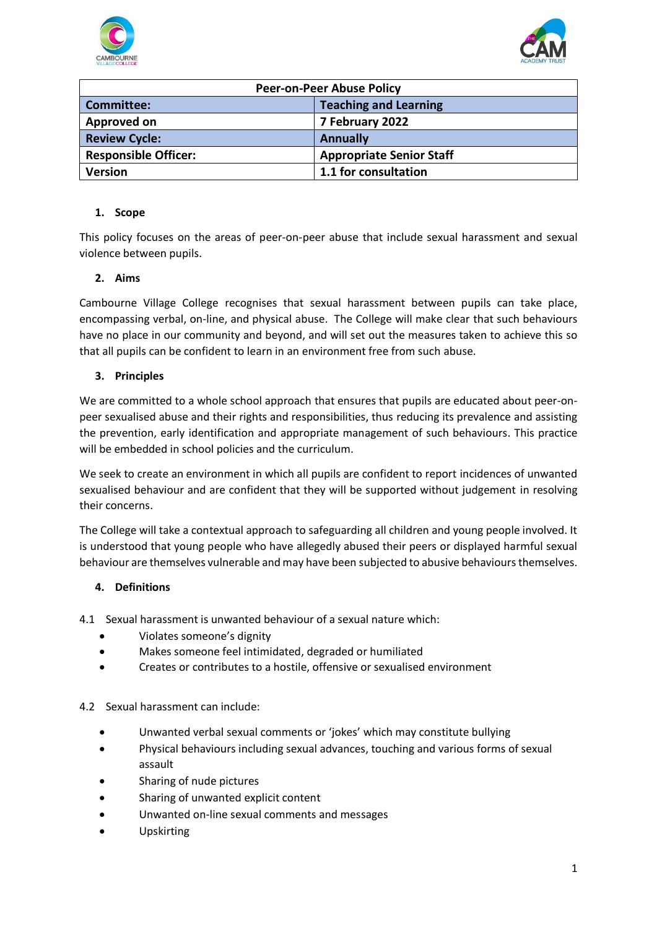



| <b>Peer-on-Peer Abuse Policy</b> |                                 |  |
|----------------------------------|---------------------------------|--|
| <b>Committee:</b>                | <b>Teaching and Learning</b>    |  |
| Approved on                      | 7 February 2022                 |  |
| <b>Review Cycle:</b>             | <b>Annually</b>                 |  |
| <b>Responsible Officer:</b>      | <b>Appropriate Senior Staff</b> |  |
| <b>Version</b>                   | 1.1 for consultation            |  |

#### **1. Scope**

This policy focuses on the areas of peer-on-peer abuse that include sexual harassment and sexual violence between pupils.

### **2. Aims**

Cambourne Village College recognises that sexual harassment between pupils can take place, encompassing verbal, on-line, and physical abuse. The College will make clear that such behaviours have no place in our community and beyond, and will set out the measures taken to achieve this so that all pupils can be confident to learn in an environment free from such abuse.

### **3. Principles**

We are committed to a whole school approach that ensures that pupils are educated about peer-onpeer sexualised abuse and their rights and responsibilities, thus reducing its prevalence and assisting the prevention, early identification and appropriate management of such behaviours. This practice will be embedded in school policies and the curriculum.

We seek to create an environment in which all pupils are confident to report incidences of unwanted sexualised behaviour and are confident that they will be supported without judgement in resolving their concerns.

The College will take a contextual approach to safeguarding all children and young people involved. It is understood that young people who have allegedly abused their peers or displayed harmful sexual behaviour are themselves vulnerable and may have been subjected to abusive behaviours themselves.

### **4. Definitions**

4.1 Sexual harassment is unwanted behaviour of a sexual nature which:

- Violates someone's dignity
- Makes someone feel intimidated, degraded or humiliated
- Creates or contributes to a hostile, offensive or sexualised environment

### 4.2 Sexual harassment can include:

- Unwanted verbal sexual comments or 'jokes' which may constitute bullying
- Physical behaviours including sexual advances, touching and various forms of sexual assault
- Sharing of nude pictures
- Sharing of unwanted explicit content
- Unwanted on-line sexual comments and messages
- Upskirting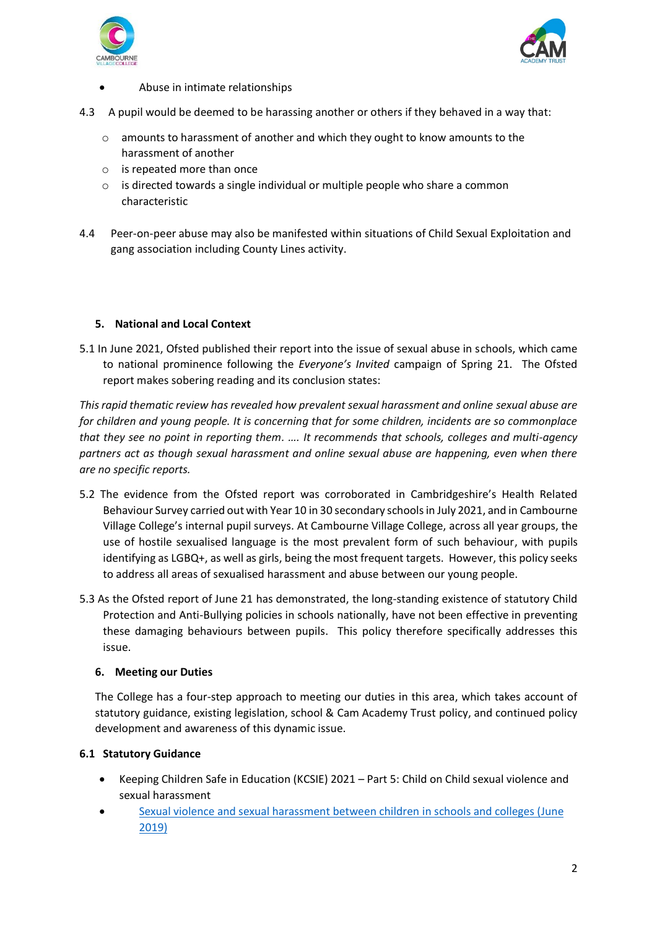



- Abuse in intimate relationships
- 4.3 A pupil would be deemed to be harassing another or others if they behaved in a way that:
	- o amounts to harassment of another and which they ought to know amounts to the harassment of another
	- o is repeated more than once
	- o is directed towards a single individual or multiple people who share a common characteristic
- 4.4 Peer-on-peer abuse may also be manifested within situations of Child Sexual Exploitation and gang association including County Lines activity.

#### **5. National and Local Context**

5.1 In June 2021, Ofsted published their report into the issue of sexual abuse in schools, which came to national prominence following the *Everyone's Invited* campaign of Spring 21. The Ofsted report makes sobering reading and its conclusion states:

*This rapid thematic review has revealed how prevalent sexual harassment and online sexual abuse are for children and young people. It is concerning that for some children, incidents are so commonplace that they see no point in reporting them. …. It recommends that schools, colleges and multi-agency partners act as though sexual harassment and online sexual abuse are happening, even when there are no specific reports.*

- 5.2 The evidence from the Ofsted report was corroborated in Cambridgeshire's Health Related Behaviour Survey carried out with Year 10 in 30 secondary schools in July 2021, and in Cambourne Village College's internal pupil surveys. At Cambourne Village College, across all year groups, the use of hostile sexualised language is the most prevalent form of such behaviour, with pupils identifying as LGBQ+, as well as girls, being the most frequent targets. However, this policy seeks to address all areas of sexualised harassment and abuse between our young people.
- 5.3 As the Ofsted report of June 21 has demonstrated, the long-standing existence of statutory Child Protection and Anti-Bullying policies in schools nationally, have not been effective in preventing these damaging behaviours between pupils. This policy therefore specifically addresses this issue.

#### **6. Meeting our Duties**

The College has a four-step approach to meeting our duties in this area, which takes account of statutory guidance, existing legislation, school & Cam Academy Trust policy, and continued policy development and awareness of this dynamic issue.

#### **6.1 Statutory Guidance**

- Keeping Children Safe in Education (KCSIE) 2021 Part 5: Child on Child sexual violence and sexual harassment
- [Sexual violence and sexual harassment between children in schools and colleges \(June](https://assets.publishing.service.gov.uk/government/uploads/system/uploads/attachment_data/file/1014224/Sexual_violence_and_sexual_harassment_between_children_in_schools_and_colleges.pdf)  [2019\)](https://assets.publishing.service.gov.uk/government/uploads/system/uploads/attachment_data/file/1014224/Sexual_violence_and_sexual_harassment_between_children_in_schools_and_colleges.pdf)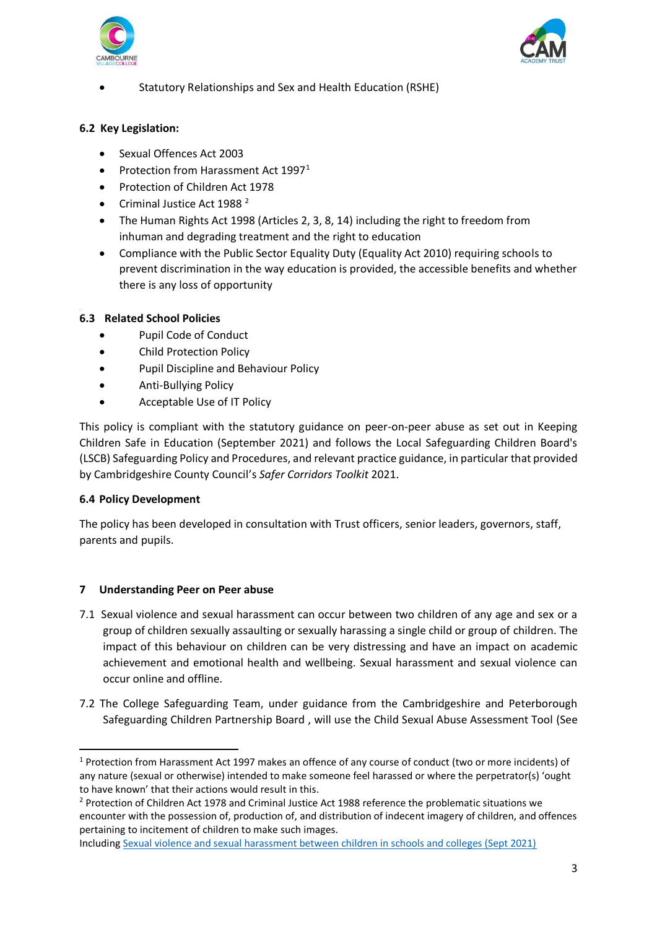



• Statutory Relationships and Sex and Health Education (RSHE)

### **6.2 Key Legislation:**

- Sexual Offences Act 2003
- Protection from Harassment Act  $1997<sup>1</sup>$
- Protection of Children Act 1978
- Criminal Justice Act 1988<sup>2</sup>
- The Human Rights Act 1998 (Articles 2, 3, 8, 14) including the right to freedom from inhuman and degrading treatment and the right to education
- Compliance with the Public Sector Equality Duty (Equality Act 2010) requiring schools to prevent discrimination in the way education is provided, the accessible benefits and whether there is any loss of opportunity

#### 6.3 **6.3 Related School Policies**

- Pupil Code of Conduct
- Child Protection Policy
- Pupil Discipline and Behaviour Policy
- Anti-Bullying Policy
- Acceptable Use of IT Policy

This policy is compliant with the statutory guidance on peer-on-peer abuse as set out in Keeping Children Safe in Education (September 2021) and follows the Local Safeguarding Children Board's (LSCB) Safeguarding Policy and Procedures, and relevant practice guidance, in particular that provided by Cambridgeshire County Council's *Safer Corridors Toolkit* 2021.

### **6.4 Policy Development**

The policy has been developed in consultation with Trust officers, senior leaders, governors, staff, parents and pupils.

### **7 Understanding Peer on Peer abuse**

- 7.1 Sexual violence and sexual harassment can occur between two children of any age and sex or a group of children sexually assaulting or sexually harassing a single child or group of children. The impact of this behaviour on children can be very distressing and have an impact on academic achievement and emotional health and wellbeing. Sexual harassment and sexual violence can occur online and offline.
- 7.2 The College Safeguarding Team, under guidance from the Cambridgeshire and Peterborough Safeguarding Children Partnership Board , will use the Child Sexual Abuse Assessment Tool (See

<sup>1</sup> Protection from Harassment Act 1997 makes an offence of any course of conduct (two or more incidents) of any nature (sexual or otherwise) intended to make someone feel harassed or where the perpetrator(s) 'ought to have known' that their actions would result in this.

<sup>&</sup>lt;sup>2</sup> Protection of Children Act 1978 and Criminal Justice Act 1988 reference the problematic situations we encounter with the possession of, production of, and distribution of indecent imagery of children, and offences pertaining to incitement of children to make such images.

Includin[g Sexual violence and sexual harassment between children in schools and colleges \(Sept 2021\)](https://assets.publishing.service.gov.uk/government/uploads/system/uploads/attachment_data/file/1014224/Sexual_violence_and_sexual_harassment_between_children_in_schools_and_colleges.pdf)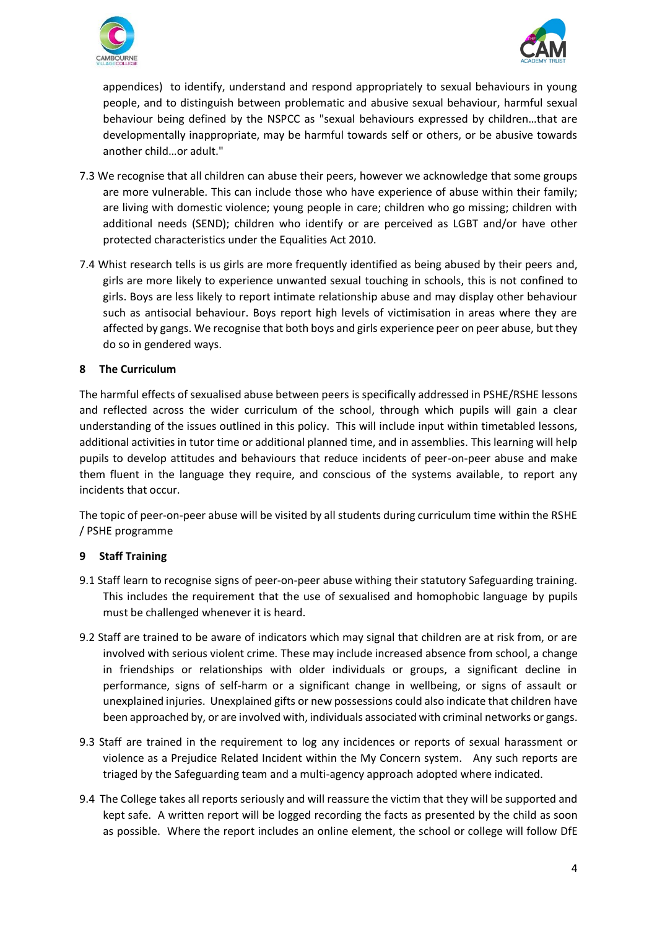



appendices) to identify, understand and respond appropriately to sexual behaviours in young people, and to distinguish between problematic and abusive sexual behaviour, harmful sexual behaviour being defined by the NSPCC as "sexual behaviours expressed by children…that are developmentally inappropriate, may be harmful towards self or others, or be abusive towards another child…or adult."

- 7.3 We recognise that all children can abuse their peers, however we acknowledge that some groups are more vulnerable. This can include those who have experience of abuse within their family; are living with domestic violence; young people in care; children who go missing; children with additional needs (SEND); children who identify or are perceived as LGBT and/or have other protected characteristics under the Equalities Act 2010.
- 7.4 Whist research tells is us girls are more frequently identified as being abused by their peers and, girls are more likely to experience unwanted sexual touching in schools, this is not confined to girls. Boys are less likely to report intimate relationship abuse and may display other behaviour such as antisocial behaviour. Boys report high levels of victimisation in areas where they are affected by gangs. We recognise that both boys and girls experience peer on peer abuse, but they do so in gendered ways.

### **8 The Curriculum**

The harmful effects of sexualised abuse between peers is specifically addressed in PSHE/RSHE lessons and reflected across the wider curriculum of the school, through which pupils will gain a clear understanding of the issues outlined in this policy. This will include input within timetabled lessons, additional activities in tutor time or additional planned time, and in assemblies. This learning will help pupils to develop attitudes and behaviours that reduce incidents of peer-on-peer abuse and make them fluent in the language they require, and conscious of the systems available, to report any incidents that occur.

The topic of peer-on-peer abuse will be visited by all students during curriculum time within the RSHE / PSHE programme

#### **9 Staff Training**

- 9.1 Staff learn to recognise signs of peer-on-peer abuse withing their statutory Safeguarding training. This includes the requirement that the use of sexualised and homophobic language by pupils must be challenged whenever it is heard.
- 9.2 Staff are trained to be aware of indicators which may signal that children are at risk from, or are involved with serious violent crime. These may include increased absence from school, a change in friendships or relationships with older individuals or groups, a significant decline in performance, signs of self-harm or a significant change in wellbeing, or signs of assault or unexplained injuries. Unexplained gifts or new possessions could also indicate that children have been approached by, or are involved with, individuals associated with criminal networks or gangs.
- 9.3 Staff are trained in the requirement to log any incidences or reports of sexual harassment or violence as a Prejudice Related Incident within the My Concern system. Any such reports are triaged by the Safeguarding team and a multi-agency approach adopted where indicated.
- 9.4 The College takes all reports seriously and will reassure the victim that they will be supported and kept safe. A written report will be logged recording the facts as presented by the child as soon as possible. Where the report includes an online element, the school or college will follow DfE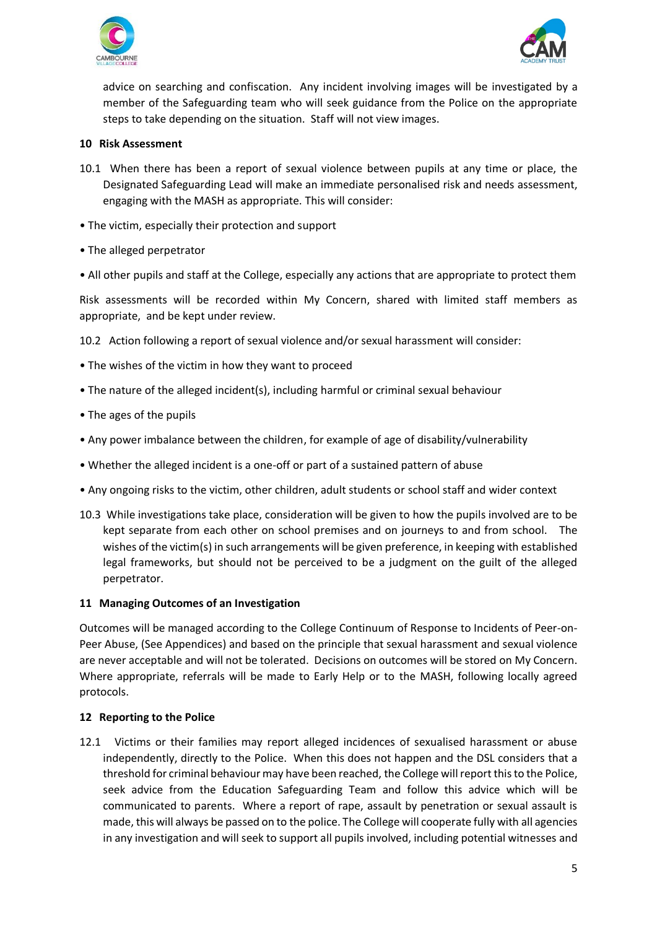



advice on searching and confiscation. Any incident involving images will be investigated by a member of the Safeguarding team who will seek guidance from the Police on the appropriate steps to take depending on the situation. Staff will not view images.

#### **10 Risk Assessment**

- 10.1 When there has been a report of sexual violence between pupils at any time or place, the Designated Safeguarding Lead will make an immediate personalised risk and needs assessment, engaging with the MASH as appropriate. This will consider:
- The victim, especially their protection and support
- The alleged perpetrator
- All other pupils and staff at the College, especially any actions that are appropriate to protect them

Risk assessments will be recorded within My Concern, shared with limited staff members as appropriate, and be kept under review.

10.2 Action following a report of sexual violence and/or sexual harassment will consider:

- The wishes of the victim in how they want to proceed
- The nature of the alleged incident(s), including harmful or criminal sexual behaviour
- The ages of the pupils
- Any power imbalance between the children, for example of age of disability/vulnerability
- Whether the alleged incident is a one-off or part of a sustained pattern of abuse
- Any ongoing risks to the victim, other children, adult students or school staff and wider context
- 10.3 While investigations take place, consideration will be given to how the pupils involved are to be kept separate from each other on school premises and on journeys to and from school. The wishes of the victim(s) in such arrangements will be given preference, in keeping with established legal frameworks, but should not be perceived to be a judgment on the guilt of the alleged perpetrator.

#### **11 Managing Outcomes of an Investigation**

Outcomes will be managed according to the College Continuum of Response to Incidents of Peer-on-Peer Abuse, (See Appendices) and based on the principle that sexual harassment and sexual violence are never acceptable and will not be tolerated. Decisions on outcomes will be stored on My Concern. Where appropriate, referrals will be made to Early Help or to the MASH, following locally agreed protocols.

#### **12 Reporting to the Police**

12.1 Victims or their families may report alleged incidences of sexualised harassment or abuse independently, directly to the Police. When this does not happen and the DSL considers that a threshold for criminal behaviour may have been reached, the College will report this to the Police, seek advice from the Education Safeguarding Team and follow this advice which will be communicated to parents. Where a report of rape, assault by penetration or sexual assault is made, this will always be passed on to the police. The College will cooperate fully with all agencies in any investigation and will seek to support all pupils involved, including potential witnesses and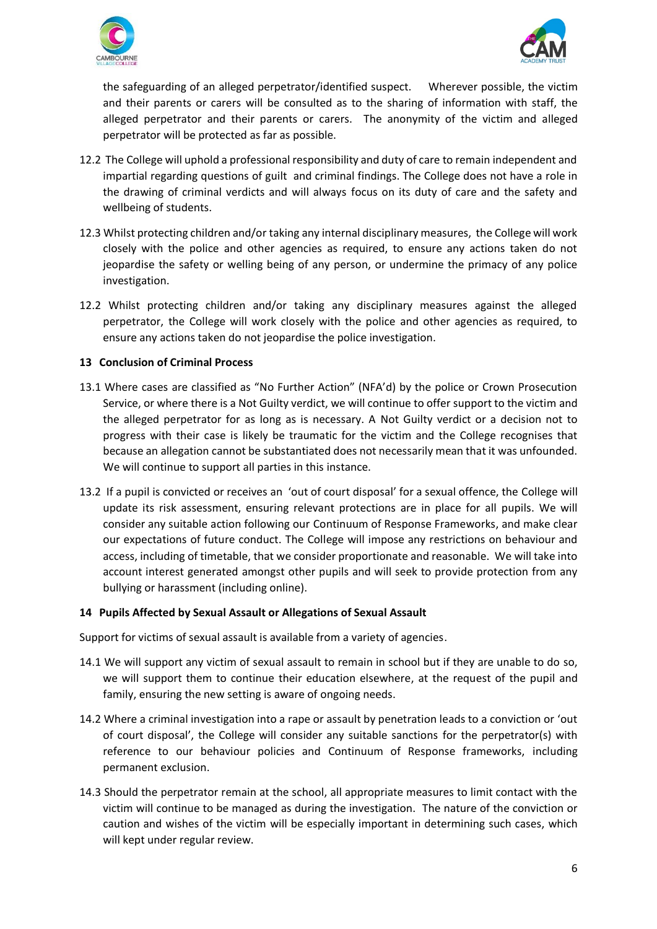



the safeguarding of an alleged perpetrator/identified suspect. Wherever possible, the victim and their parents or carers will be consulted as to the sharing of information with staff, the alleged perpetrator and their parents or carers. The anonymity of the victim and alleged perpetrator will be protected as far as possible.

- 12.2 The College will uphold a professional responsibility and duty of care to remain independent and impartial regarding questions of guilt and criminal findings. The College does not have a role in the drawing of criminal verdicts and will always focus on its duty of care and the safety and wellbeing of students.
- 12.3 Whilst protecting children and/or taking any internal disciplinary measures, the College will work closely with the police and other agencies as required, to ensure any actions taken do not jeopardise the safety or welling being of any person, or undermine the primacy of any police investigation.
- 12.2 Whilst protecting children and/or taking any disciplinary measures against the alleged perpetrator, the College will work closely with the police and other agencies as required, to ensure any actions taken do not jeopardise the police investigation.

#### **13 Conclusion of Criminal Process**

- 13.1 Where cases are classified as "No Further Action" (NFA'd) by the police or Crown Prosecution Service, or where there is a Not Guilty verdict, we will continue to offer support to the victim and the alleged perpetrator for as long as is necessary. A Not Guilty verdict or a decision not to progress with their case is likely be traumatic for the victim and the College recognises that because an allegation cannot be substantiated does not necessarily mean that it was unfounded. We will continue to support all parties in this instance.
- 13.2 If a pupil is convicted or receives an 'out of court disposal' for a sexual offence, the College will update its risk assessment, ensuring relevant protections are in place for all pupils. We will consider any suitable action following our Continuum of Response Frameworks, and make clear our expectations of future conduct. The College will impose any restrictions on behaviour and access, including of timetable, that we consider proportionate and reasonable. We will take into account interest generated amongst other pupils and will seek to provide protection from any bullying or harassment (including online).

#### **14 Pupils Affected by Sexual Assault or Allegations of Sexual Assault**

Support for victims of sexual assault is available from a variety of agencies.

- 14.1 We will support any victim of sexual assault to remain in school but if they are unable to do so, we will support them to continue their education elsewhere, at the request of the pupil and family, ensuring the new setting is aware of ongoing needs.
- 14.2 Where a criminal investigation into a rape or assault by penetration leads to a conviction or 'out of court disposal', the College will consider any suitable sanctions for the perpetrator(s) with reference to our behaviour policies and Continuum of Response frameworks, including permanent exclusion.
- 14.3 Should the perpetrator remain at the school, all appropriate measures to limit contact with the victim will continue to be managed as during the investigation. The nature of the conviction or caution and wishes of the victim will be especially important in determining such cases, which will kept under regular review.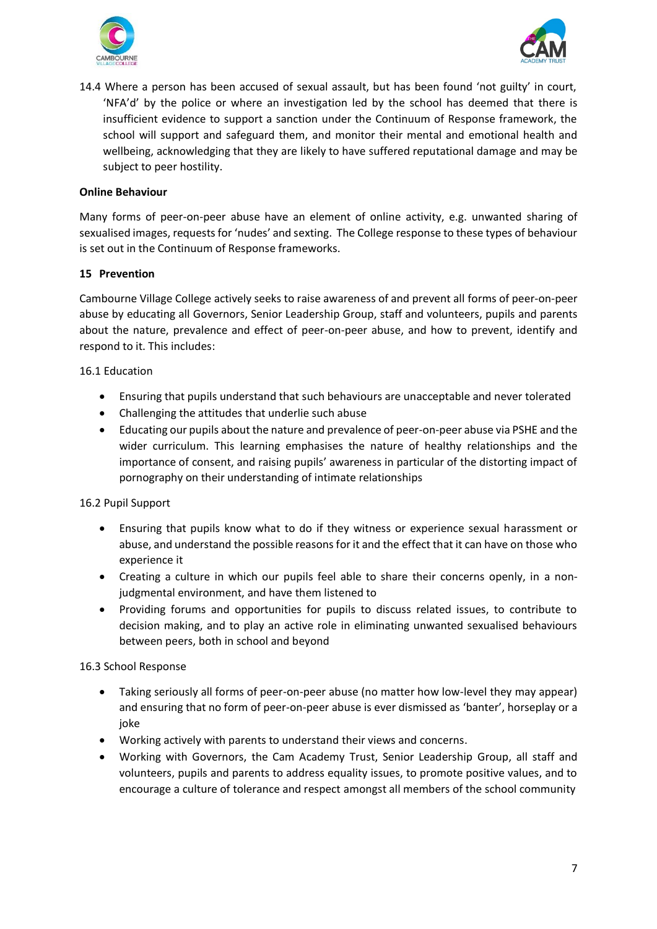



14.4 Where a person has been accused of sexual assault, but has been found 'not guilty' in court, 'NFA'd' by the police or where an investigation led by the school has deemed that there is insufficient evidence to support a sanction under the Continuum of Response framework, the school will support and safeguard them, and monitor their mental and emotional health and wellbeing, acknowledging that they are likely to have suffered reputational damage and may be subject to peer hostility.

#### **Online Behaviour**

Many forms of peer-on-peer abuse have an element of online activity, e.g. unwanted sharing of sexualised images, requests for 'nudes' and sexting. The College response to these types of behaviour is set out in the Continuum of Response frameworks.

#### **15 Prevention**

Cambourne Village College actively seeks to raise awareness of and prevent all forms of peer-on-peer abuse by educating all Governors, Senior Leadership Group, staff and volunteers, pupils and parents about the nature, prevalence and effect of peer-on-peer abuse, and how to prevent, identify and respond to it. This includes:

#### 16.1 Education

- Ensuring that pupils understand that such behaviours are unacceptable and never tolerated
- Challenging the attitudes that underlie such abuse
- Educating our pupils about the nature and prevalence of peer-on-peer abuse via PSHE and the wider curriculum. This learning emphasises the nature of healthy relationships and the importance of consent, and raising pupils' awareness in particular of the distorting impact of pornography on their understanding of intimate relationships

#### 16.2 Pupil Support

- Ensuring that pupils know what to do if they witness or experience sexual harassment or abuse, and understand the possible reasons for it and the effect that it can have on those who experience it
- Creating a culture in which our pupils feel able to share their concerns openly, in a nonjudgmental environment, and have them listened to
- Providing forums and opportunities for pupils to discuss related issues, to contribute to decision making, and to play an active role in eliminating unwanted sexualised behaviours between peers, both in school and beyond

### 16.3 School Response

- Taking seriously all forms of peer-on-peer abuse (no matter how low-level they may appear) and ensuring that no form of peer-on-peer abuse is ever dismissed as 'banter', horseplay or a joke
- Working actively with parents to understand their views and concerns.
- Working with Governors, the Cam Academy Trust, Senior Leadership Group, all staff and volunteers, pupils and parents to address equality issues, to promote positive values, and to encourage a culture of tolerance and respect amongst all members of the school community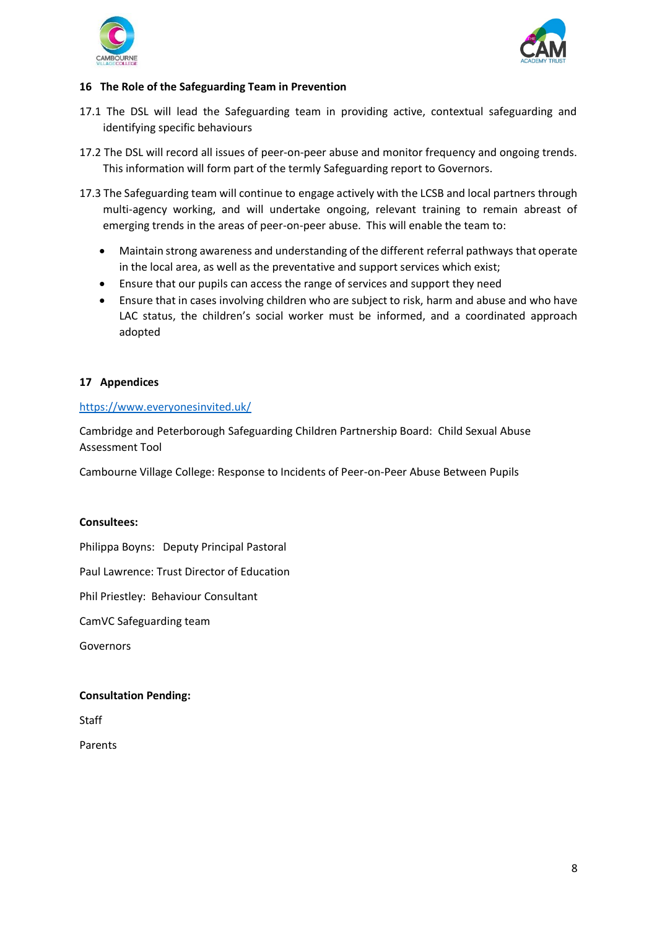



#### **16 The Role of the Safeguarding Team in Prevention**

- 17.1 The DSL will lead the Safeguarding team in providing active, contextual safeguarding and identifying specific behaviours
- 17.2 The DSL will record all issues of peer-on-peer abuse and monitor frequency and ongoing trends. This information will form part of the termly Safeguarding report to Governors.
- 17.3 The Safeguarding team will continue to engage actively with the LCSB and local partners through multi-agency working, and will undertake ongoing, relevant training to remain abreast of emerging trends in the areas of peer-on-peer abuse. This will enable the team to:
	- Maintain strong awareness and understanding of the different referral pathways that operate in the local area, as well as the preventative and support services which exist;
	- Ensure that our pupils can access the range of services and support they need
	- Ensure that in cases involving children who are subject to risk, harm and abuse and who have LAC status, the children's social worker must be informed, and a coordinated approach adopted

#### **17 Appendices**

#### <https://www.everyonesinvited.uk/>

Cambridge and Peterborough Safeguarding Children Partnership Board: Child Sexual Abuse Assessment Tool

Cambourne Village College: Response to Incidents of Peer-on-Peer Abuse Between Pupils

#### **Consultees:**

Philippa Boyns: Deputy Principal Pastoral

Paul Lawrence: Trust Director of Education

Phil Priestley: Behaviour Consultant

CamVC Safeguarding team

Governors

#### **Consultation Pending:**

**Staff** 

Parents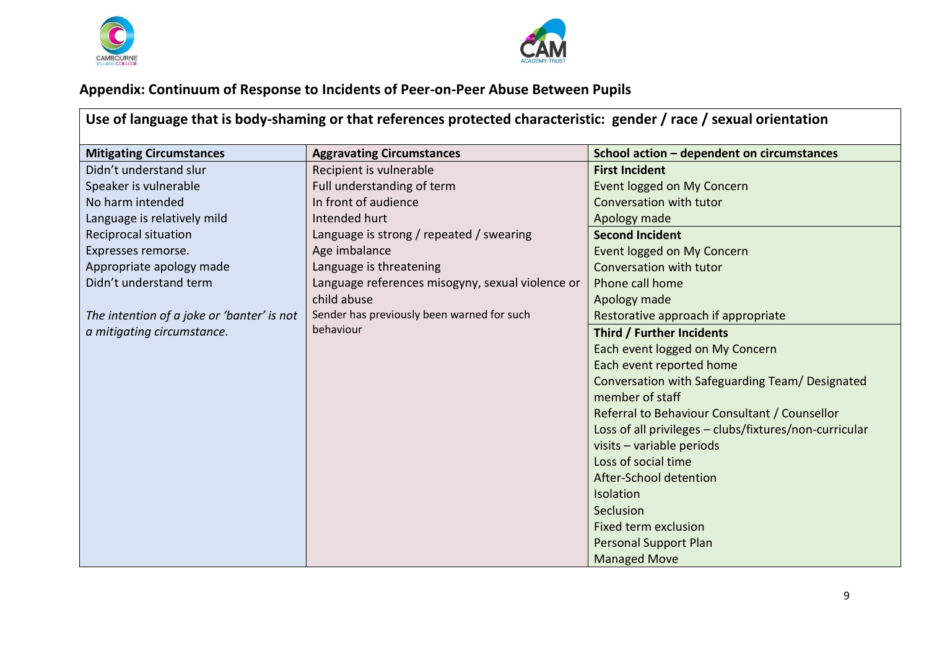



## **Appendix: Continuum of Response to Incidents of Peer-on-Peer Abuse Between Pupils**

**Use of language that is body-shaming or that references protected characteristic: gender / race / sexual orientation**

| <b>Mitigating Circumstances</b>            | <b>Aggravating Circumstances</b>                 | School action - dependent on circumstances             |
|--------------------------------------------|--------------------------------------------------|--------------------------------------------------------|
| Didn't understand slur                     | Recipient is vulnerable                          | <b>First Incident</b>                                  |
| Speaker is vulnerable                      | Full understanding of term                       | Event logged on My Concern                             |
| No harm intended                           | In front of audience                             | Conversation with tutor                                |
| Language is relatively mild                | Intended hurt                                    | Apology made                                           |
| Reciprocal situation                       | Language is strong / repeated / swearing         | <b>Second Incident</b>                                 |
| Expresses remorse.                         | Age imbalance                                    | Event logged on My Concern                             |
| Appropriate apology made                   | Language is threatening                          | Conversation with tutor                                |
| Didn't understand term                     | Language references misogyny, sexual violence or | Phone call home                                        |
|                                            | child abuse                                      | Apology made                                           |
| The intention of a joke or 'banter' is not | Sender has previously been warned for such       | Restorative approach if appropriate                    |
| a mitigating circumstance.                 | behaviour                                        | Third / Further Incidents                              |
|                                            |                                                  | Each event logged on My Concern                        |
|                                            |                                                  | Each event reported home                               |
|                                            |                                                  | Conversation with Safeguarding Team/ Designated        |
|                                            |                                                  | member of staff                                        |
|                                            |                                                  | Referral to Behaviour Consultant / Counsellor          |
|                                            |                                                  | Loss of all privileges - clubs/fixtures/non-curricular |
|                                            |                                                  | visits - variable periods                              |
|                                            |                                                  | Loss of social time                                    |
|                                            |                                                  | After-School detention                                 |
|                                            |                                                  | Isolation                                              |
|                                            |                                                  | Seclusion                                              |
|                                            |                                                  | Fixed term exclusion                                   |
|                                            |                                                  | <b>Personal Support Plan</b>                           |
|                                            |                                                  | <b>Managed Move</b>                                    |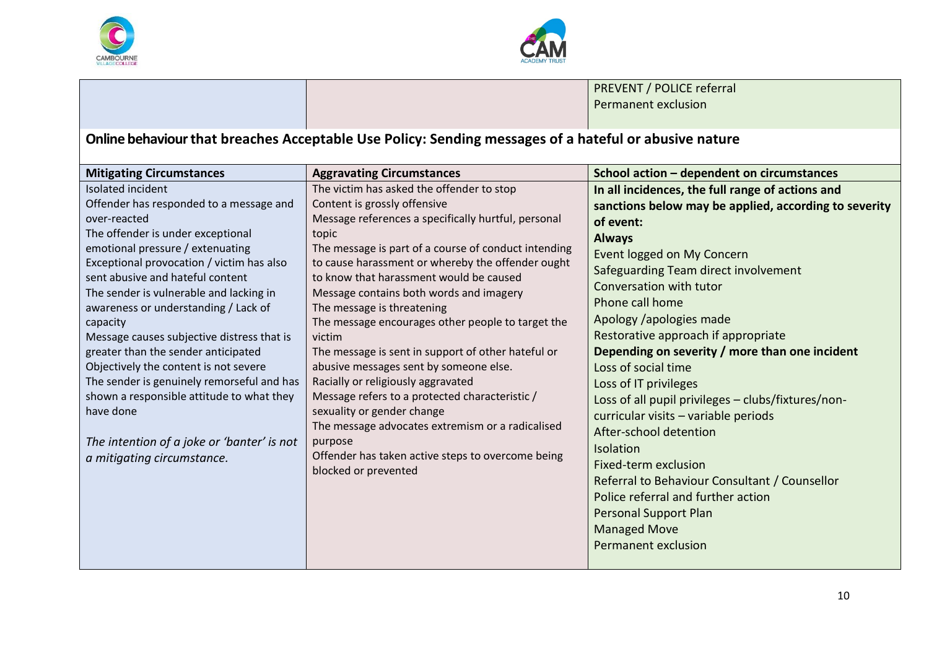



PREVENT / POLICE referral Permanent exclusion

## **Online behaviour that breaches Acceptable Use Policy: Sending messages of a hateful or abusive nature**

| <b>Mitigating Circumstances</b>                                                 | <b>Aggravating Circumstances</b>                                      | School action - dependent on circumstances            |
|---------------------------------------------------------------------------------|-----------------------------------------------------------------------|-------------------------------------------------------|
| Isolated incident                                                               | The victim has asked the offender to stop                             | In all incidences, the full range of actions and      |
| Offender has responded to a message and                                         | Content is grossly offensive                                          | sanctions below may be applied, according to severity |
| over-reacted                                                                    | Message references a specifically hurtful, personal                   | of event:                                             |
| The offender is under exceptional                                               | topic                                                                 | <b>Always</b>                                         |
| emotional pressure / extenuating                                                | The message is part of a course of conduct intending                  | Event logged on My Concern                            |
| Exceptional provocation / victim has also                                       | to cause harassment or whereby the offender ought                     | Safeguarding Team direct involvement                  |
| sent abusive and hateful content                                                | to know that harassment would be caused                               | Conversation with tutor                               |
| The sender is vulnerable and lacking in<br>awareness or understanding / Lack of | Message contains both words and imagery<br>The message is threatening | Phone call home                                       |
| capacity                                                                        | The message encourages other people to target the                     | Apology /apologies made                               |
| Message causes subjective distress that is                                      | victim                                                                | Restorative approach if appropriate                   |
| greater than the sender anticipated                                             | The message is sent in support of other hateful or                    | Depending on severity / more than one incident        |
| Objectively the content is not severe                                           | abusive messages sent by someone else.                                | Loss of social time                                   |
| The sender is genuinely remorseful and has                                      | Racially or religiously aggravated                                    | Loss of IT privileges                                 |
| shown a responsible attitude to what they                                       | Message refers to a protected characteristic /                        | Loss of all pupil privileges - clubs/fixtures/non-    |
| have done                                                                       | sexuality or gender change                                            | curricular visits - variable periods                  |
|                                                                                 | The message advocates extremism or a radicalised                      | After-school detention                                |
| The intention of a joke or 'banter' is not                                      | purpose                                                               | <b>Isolation</b>                                      |
| a mitigating circumstance.                                                      | Offender has taken active steps to overcome being                     | Fixed-term exclusion                                  |
|                                                                                 | blocked or prevented                                                  | Referral to Behaviour Consultant / Counsellor         |
|                                                                                 |                                                                       | Police referral and further action                    |
|                                                                                 |                                                                       | <b>Personal Support Plan</b>                          |
|                                                                                 |                                                                       | <b>Managed Move</b>                                   |
|                                                                                 |                                                                       | <b>Permanent exclusion</b>                            |
|                                                                                 |                                                                       |                                                       |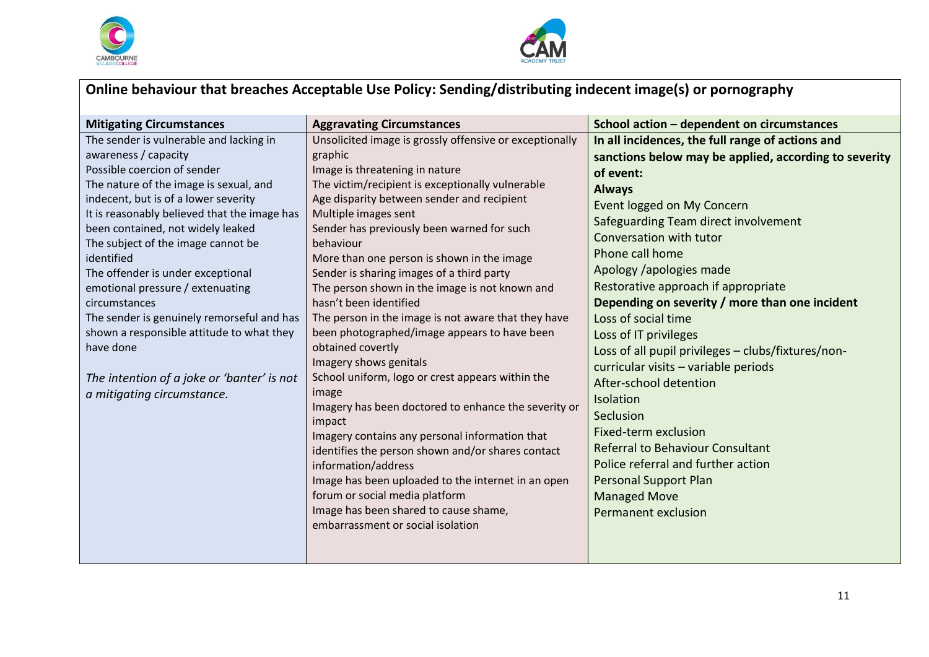



# **Online behaviour that breaches Acceptable Use Policy: Sending/distributing indecent image(s) or pornography**

| <b>Mitigating Circumstances</b>                   | <b>Aggravating Circumstances</b>                                         | School action - dependent on circumstances            |
|---------------------------------------------------|--------------------------------------------------------------------------|-------------------------------------------------------|
| The sender is vulnerable and lacking in           | Unsolicited image is grossly offensive or exceptionally                  | In all incidences, the full range of actions and      |
| awareness / capacity                              | graphic                                                                  | sanctions below may be applied, according to severity |
| Possible coercion of sender                       | Image is threatening in nature                                           | of event:                                             |
| The nature of the image is sexual, and            | The victim/recipient is exceptionally vulnerable                         | <b>Always</b>                                         |
| indecent, but is of a lower severity              | Age disparity between sender and recipient                               | Event logged on My Concern                            |
| It is reasonably believed that the image has      | Multiple images sent                                                     | Safeguarding Team direct involvement                  |
| been contained, not widely leaked                 | Sender has previously been warned for such                               | Conversation with tutor                               |
| The subject of the image cannot be                | behaviour                                                                | Phone call home                                       |
| identified                                        | More than one person is shown in the image                               | Apology /apologies made                               |
| The offender is under exceptional                 | Sender is sharing images of a third party                                | Restorative approach if appropriate                   |
| emotional pressure / extenuating<br>circumstances | The person shown in the image is not known and<br>hasn't been identified | Depending on severity / more than one incident        |
| The sender is genuinely remorseful and has        | The person in the image is not aware that they have                      | Loss of social time                                   |
| shown a responsible attitude to what they         | been photographed/image appears to have been                             | Loss of IT privileges                                 |
| have done                                         | obtained covertly                                                        |                                                       |
|                                                   | Imagery shows genitals                                                   | Loss of all pupil privileges - clubs/fixtures/non-    |
| The intention of a joke or 'banter' is not        | School uniform, logo or crest appears within the                         | curricular visits - variable periods                  |
| a mitigating circumstance.                        | image                                                                    | After-school detention                                |
|                                                   | Imagery has been doctored to enhance the severity or                     | Isolation                                             |
|                                                   | impact                                                                   | Seclusion                                             |
|                                                   | Imagery contains any personal information that                           | Fixed-term exclusion                                  |
|                                                   | identifies the person shown and/or shares contact                        | <b>Referral to Behaviour Consultant</b>               |
|                                                   | information/address                                                      | Police referral and further action                    |
|                                                   | Image has been uploaded to the internet in an open                       | <b>Personal Support Plan</b>                          |
|                                                   | forum or social media platform                                           | <b>Managed Move</b>                                   |
|                                                   | Image has been shared to cause shame,                                    | <b>Permanent exclusion</b>                            |
|                                                   | embarrassment or social isolation                                        |                                                       |
|                                                   |                                                                          |                                                       |
|                                                   |                                                                          |                                                       |